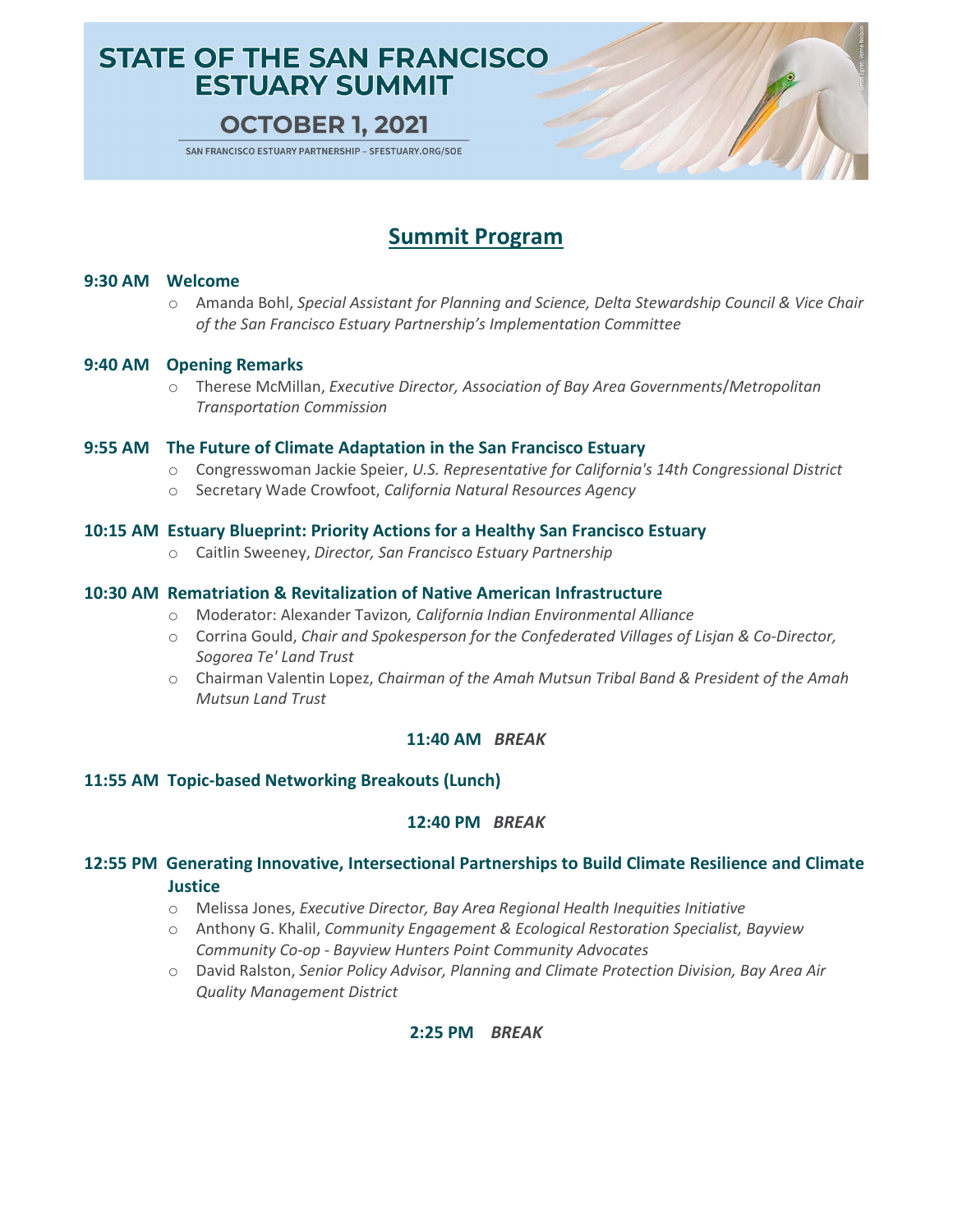# **STATE OF THE SAN FRANCISCO ESTUARY SUMMIT**

## **OCTOBER 1, 2021**

SAN FRANCISCO ESTUARY PARTNERSHIP - SFESTUARY.ORG/SOE

# **Summit Program**

#### **9:30 AM Welcome**

o Amanda Bohl, *Special Assistant for Planning and Science, Delta Stewardship Council & Vice Chair of the San Francisco Estuary Partnership's Implementation Committee*

#### **9:40 AM Opening Remarks**

o Therese McMillan, *Executive Director, Association of Bay Area Governments*/*Metropolitan Transportation Commission*

#### **9:55 AM The Future of Climate Adaptation in the San Francisco Estuary**

- o Congresswoman Jackie Speier, *U.S. Representative for California's 14th Congressional District*
- o Secretary Wade Crowfoot, *California Natural Resources Agency*

#### **10:15 AM Estuary Blueprint: Priority Actions for a Healthy San Francisco Estuary**

o Caitlin Sweeney, *Director, San Francisco Estuary Partnership*

#### **10:30 AM Rematriation & Revitalization of Native American Infrastructure**

- o Moderator: Alexander Tavizon*, California Indian Environmental Alliance*
- o Corrina Gould, *Chair and Spokesperson for the Confederated Villages of Lisjan & Co-Director, Sogorea Te' Land Trust*
- o Chairman Valentin Lopez, *Chairman of the Amah Mutsun Tribal Band & President of the Amah Mutsun Land Trust*

#### **11:40 AM** *BREAK*

#### **11:55 AM Topic-based Networking Breakouts (Lunch)**

#### **12:40 PM** *BREAK*

### **12:55 PM Generating Innovative, Intersectional Partnerships to Build Climate Resilience and Climate Justice**

- o Melissa Jones, *Executive Director, Bay Area Regional Health Inequities Initiative*
- o Anthony G. Khalil, *Community Engagement & Ecological Restoration Specialist, Bayview Community Co-op - Bayview Hunters Point Community Advocates*
- o David Ralston, *Senior Policy Advisor, Planning and Climate Protection Division, Bay Area Air Quality Management District*

#### **2:25 PM** *BREAK*